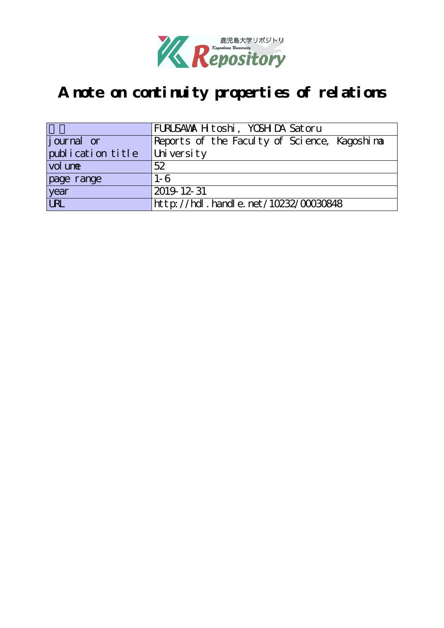

# **A note on continuity properties of relations**

|                   | FURUSAWA H toshi, YOSH DA Satoru             |
|-------------------|----------------------------------------------|
| journal or        | Reports of the Faculty of Science, Kagoshima |
| publication title | University                                   |
| vol une           | 52                                           |
| page range        | $1 - 6$                                      |
| year              | 2019 12 31                                   |
| URL               | http://hdl.handle.net/10232/00030848         |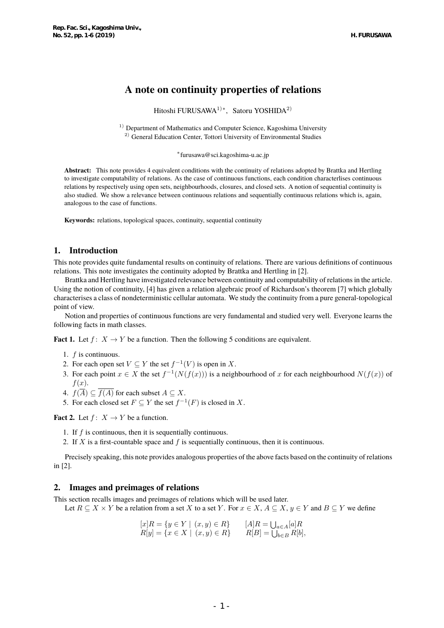## **A note on continuity properties of relations**

Hitoshi FURUSAWA1)*<sup>∗</sup>* , Satoru YOSHIDA2)

 $1)$  Department of Mathematics and Computer Science, Kagoshima University <sup>2)</sup> General Education Center, Tottori University of Environmental Studies

*∗* furusawa@sci.kagoshima-u.ac.jp

**Abstract:** This note provides 4 equivalent conditions with the continuity of relations adopted by Brattka and Hertling to investigate computability of relations. As the case of continuous functions, each condition characterlises continuous relations by respectively using open sets, neighbourhoods, closures, and closed sets. A notion of sequential continuity is also studied. We show a relevance between continuous relations and sequentially continuous relations which is, again, analogous to the case of functions.

**Keywords:** relations, topological spaces, continuity, sequential continuity

## **1. Introduction**

This note provides quite fundamental results on continuity of relations. There are various definitions of continuous relations. This note investigates the continuity adopted by Brattka and Hertling in [2].

Brattka and Hertling have investigated relevance between continuity and computability of relations in the article. Using the notion of continuity, [4] has given a relation algebraic proof of Richardson's theorem [7] which globally characterises a class of nondeterministic cellular automata. We study the continuity from a pure general-topological point of view.

Notion and properties of continuous functions are very fundamental and studied very well. Everyone learns the following facts in math classes.

**Fact 1.** Let  $f: X \to Y$  be a function. Then the following 5 conditions are equivalent.

- 1. *f* is continuous.
- 2. For each open set  $V \subseteq Y$  the set  $f^{-1}(V)$  is open in *X*.
- 3. For each point  $x \in X$  the set  $f^{-1}(N(f(x)))$  is a neighbourhood of  $x$  for each neighbourhood  $N(f(x))$  of *f*(*x*).
- 4.  $f(\overline{A}) \subseteq \overline{f(A)}$  for each subset  $A \subseteq X$ .
- 5. For each closed set  $F \subseteq Y$  the set  $f^{-1}(F)$  is closed in *X*.

**Fact 2.** Let  $f: X \to Y$  be a function.

1. If *f* is continuous, then it is sequentially continuous.

2. If *X* is a first-countable space and *f* is sequentially continuous, then it is continuous.

Precisely speaking, this note provides analogous properties of the above facts based on the continuity of relations in [2].

## **2. Images and preimages of relations**

This section recalls images and preimages of relations which will be used later.

Let  $R \subseteq X \times Y$  be a relation from a set X to a set Y. For  $x \in X$ ,  $A \subseteq X$ ,  $y \in Y$  and  $B \subseteq Y$  we define

$$
[x]R = \{ y \in Y \mid (x, y) \in R \} \qquad [A]R = \bigcup_{a \in A} [a]R R[y] = \{ x \in X \mid (x, y) \in R \} \qquad R[B] = \bigcup_{b \in B} R[b],
$$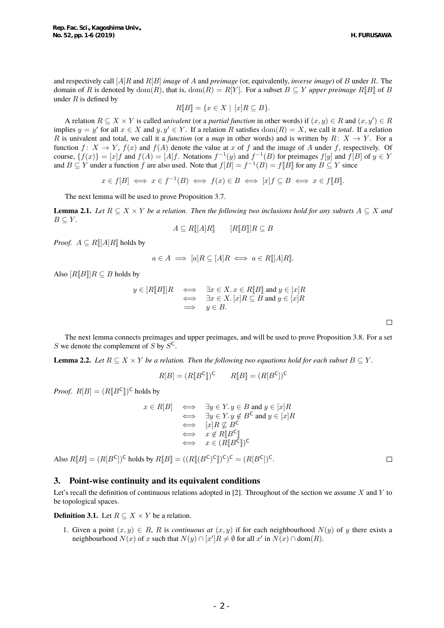H. FURUSAWA

 $\Box$ 

 $\Box$ 

and respectively call [*A*]*R* and *R*[*B*] *image* of *A* and *preimage* (or, equivalently, *inverse image*) of *B* under *R*. The domain of *R* is denoted by dom(*R*), that is, dom(*R*) =  $R[Y]$ . For a subset  $B \subseteq Y$  *upper preimage*  $R[[B]]$  of *B* under *R* is defined by

$$
R[\![B]\!]=\{x\in X\mid [x]R\subseteq B\}.
$$

A relation  $R \subseteq X \times Y$  is called *univalent* (or a *partial function* in other words) if  $(x, y) \in R$  and  $(x, y') \in R$ implies  $y = y'$  for all  $x \in X$  and  $y, y' \in Y$ . If a relation *R* satisfies  $dom(R) = X$ , we call it *total*. If a relation *R* is univalent and total, we call it a *function* (or a *map* in other words) and is written by  $R: X \rightarrow Y$ . For a function  $f: X \to Y$ ,  $f(x)$  and  $f(A)$  denote the value at *x* of *f* and the image of *A* under *f*, respectively. Of course,  $\{f(x)\} = [x]f$  and  $f(A) = [A]f$ . Notations  $f^{-1}(y)$  and  $f^{-1}(B)$  for preimages  $f[y]$  and  $f[B]$  of  $y \in Y$ and  $B \subseteq Y$  under a function  $f$  are also used. Note that  $f[B] = f^{-1}(B) = f[B]$  for any  $B \subseteq Y$  since

 $x \in f[B] \iff x \in f^{-1}(B) \iff f(x) \in B \iff [x]f \subseteq B \iff x \in f[B].$ 

The next lemma will be used to prove Proposition 3.7.

**Lemma 2.1.** *Let*  $R \subseteq X \times Y$  *be a relation. Then the following two inclusions hold for any subsets*  $A \subseteq X$  *and*  $B \subseteq Y$ .

$$
A \subseteq R[[A]R] \qquad [R[[B]]R \subseteq B
$$

*Proof.*  $A \subseteq R[[A]R]$  holds by

$$
a \in A \implies [a]R \subseteq [A]R \iff a \in R[[A]R].
$$

Also  $[R[[B]]R \subseteq B$  holds by

$$
y \in [R[[B]]R \iff \exists x \in X. x \in R[[B]] \text{ and } y \in [x]R
$$
  

$$
\iff \exists x \in X. [x]R \subseteq B \text{ and } y \in [x]R
$$
  

$$
\implies y \in B.
$$

The next lemma connects preimages and upper preimages, and will be used to prove Proposition 3.8. For a set *S* we denote the complement of *S* by  $S^C$ .

**Lemma 2.2.** *Let*  $R \subseteq X \times Y$  *be a relation. Then the following two equations hold for each subset*  $B \subseteq Y$ .

$$
R[B] = (R[\![B^{\mathsf{C}}]\!])^{\mathsf{C}} \qquad R[\![B]\!] = (R[B^{\mathsf{C}}])^{\mathsf{C}}
$$

*Proof.*  $R[B] = (R[\![B^{\mathsf{C}}]\!])^{\mathsf{C}}$  holds by

$$
x \in R[B] \iff \exists y \in Y. y \in B \text{ and } y \in [x]R
$$
  
\n
$$
\iff \exists y \in Y. y \notin B^C \text{ and } y \in [x]R
$$
  
\n
$$
\iff [x]R \nsubseteq B^C
$$
  
\n
$$
\iff x \notin R[[B^C]]
$$
  
\n
$$
\iff x \in (R[[B^C]])^C
$$

Also  $R[\![B]\!] = (R[\![B^{\mathsf{C}}]\!] )^{\mathsf{C}}$  holds by  $R[\![B]\!] = ((R[\![(B^{\mathsf{C}})^{\mathsf{C}}]\!] )^{\mathsf{C}})^{\mathsf{C}} = (R[\![B^{\mathsf{C}}]\!] )^{\mathsf{C}}$ .

#### **3. Point-wise continuity and its equivalent conditions**

Let's recall the definition of continuous relations adopted in [2]. Throughout of the section we assume *X* and *Y* to be topological spaces.

**Definition 3.1.** Let  $R \subseteq X \times Y$  be a relation.

1. Given a point  $(x, y) \in R$ , R is *continuous at*  $(x, y)$  if for each neighbourhood  $N(y)$  of *y* there exists a neighbourhood  $N(x)$  of  $x$  such that  $N(y) \cap [x']R \neq \emptyset$  for all  $x'$  in  $N(x) \cap \text{dom}(R)$ .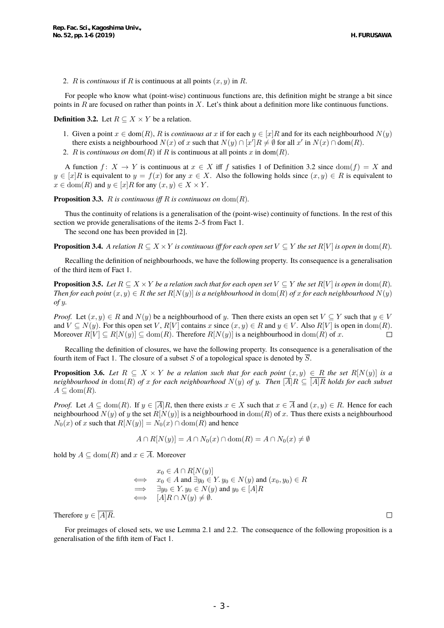2. *R* is *continuous* if *R* is continuous at all points (*x, y*) in *R*.

For people who know what (point-wise) continuous functions are, this definition might be strange a bit since points in *R* are focused on rather than points in *X*. Let's think about a definition more like continuous functions.

**Definition 3.2.** Let  $R \subseteq X \times Y$  be a relation.

- 1. Given a point  $x \in \text{dom}(R)$ , R is *continuous at*  $x$  if for each  $y \in [x]$ R and for its each neighbourhood  $N(y)$ there exists a neighbourhood  $N(x)$  of *x* such that  $N(y) \cap [x']R \neq \emptyset$  for all  $x'$  in  $N(x) \cap \text{dom}(R)$ .
- 2. *R* is *continuous on* dom(*R*) if *R* is continuous at all points *x* in dom(*R*).

A function  $f: X \to Y$  is continuous at  $x \in X$  iff f satisfies 1 of Definition 3.2 since  $dom(f) = X$  and *y*  $\in$  [*x*]*R* is equivalent to *y* = *f*(*x*) for any *x* ∈ *X*. Also the following holds since  $(x, y)$  ∈ *R* is equivalent to  $x \in \text{dom}(R)$  and  $y \in [x]R$  for any  $(x, y) \in X \times Y$ .

**Proposition 3.3.** *R is continuous iff R is continuous on* dom(*R*).

Thus the continuity of relations is a generalisation of the (point-wise) continuity of functions. In the rest of this section we provide generalisations of the items 2–5 from Fact 1.

The second one has been provided in [2].

**Proposition 3.4.** A relation  $R \subseteq X \times Y$  is continuous iff for each open set  $V \subseteq Y$  the set  $R[V]$  is open in  $dom(R)$ .

Recalling the definition of neighbourhoods, we have the following property. Its consequence is a generalisation of the third item of Fact 1.

**Proposition 3.5.** Let  $R \subseteq X \times Y$  be a relation such that for each open set  $V \subseteq Y$  the set  $R[V]$  is open in  $dom(R)$ . *Then for each point*  $(x, y) \in R$  *the set*  $R[N(y)]$  *is a neighbourhood in* dom(*R*) *of x for each neighbourhood*  $N(y)$ *of y.*

*Proof.* Let  $(x, y) \in R$  and  $N(y)$  be a neighbourhood of *y*. Then there exists an open set  $V \subseteq Y$  such that  $y \in V$ and  $V \subseteq N(y)$ . For this open set V,  $R[V]$  contains x since  $(x, y) \in R$  and  $y \in V$ . Also  $R[V]$  is open in  $dom(R)$ . Moreover  $R[V] \subseteq R[N(y)] \subseteq \text{dom}(R)$ . Therefore  $R[N(y)]$  is a neighbourhood in dom(*R*) of *x*.  $\Box$ 

Recalling the definition of closures, we have the following property. Its consequence is a generalisation of the fourth item of Fact 1. The closure of a subset *S* of a topological space is denoted by  $\overline{S}$ .

**Proposition 3.6.** *Let*  $R \subseteq X \times Y$  *be a relation such that for each point*  $(x, y) \in R$  *the set*  $R[N(y)]$  *is a neighbourhood in*  $dom(R)$  *of x for each neighbourhood*  $N(y)$  *of y. Then*  $\overline{A}$  $R \subseteq \overline{A}$  $\overline{R}$  *holds for each subset*  $A \subseteq \text{dom}(R)$ .

*Proof.* Let  $A \subseteq \text{dom}(R)$ . If  $y \in \overline{A|R}$ , then there exists  $x \in X$  such that  $x \in \overline{A}$  and  $(x, y) \in R$ . Hence for each neighbourhood  $N(y)$  of *y* the set  $R[N(y)]$  is a neighbourhood in dom(*R*) of *x*. Thus there exists a neighbourhood  $N_0(x)$  of *x* such that  $R[N(y)] = N_0(x) \cap \text{dom}(R)$  and hence

$$
A \cap R[N(y)] = A \cap N_0(x) \cap \text{dom}(R) = A \cap N_0(x) \neq \emptyset
$$

hold by  $A \subseteq \text{dom}(R)$  and  $x \in \overline{A}$ . Moreover

$$
x_0 \in A \cap R[N(y)]
$$
  
\n
$$
\iff x_0 \in A \text{ and } \exists y_0 \in Y. y_0 \in N(y) \text{ and } (x_0, y_0) \in R
$$
  
\n
$$
\Rightarrow \exists y_0 \in Y. y_0 \in N(y) \text{ and } y_0 \in [A]R
$$
  
\n
$$
\iff [A]R \cap N(y) \neq \emptyset.
$$

Therefore  $y \in \overline{[A]R}$ .

For preimages of closed sets, we use Lemma 2.1 and 2.2. The consequence of the following proposition is a generalisation of the fifth item of Fact 1.

 $\Box$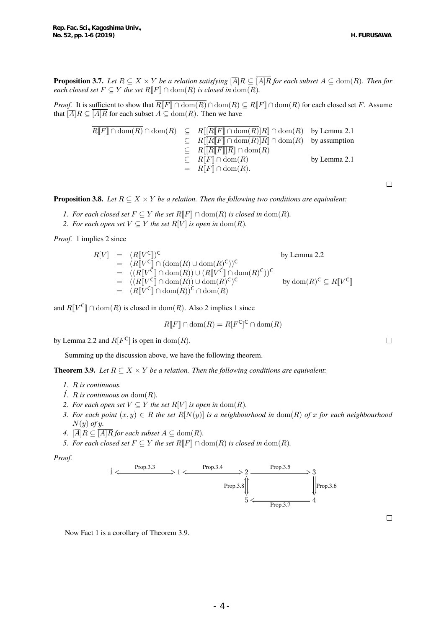H. FURUSAWA

**Proposition 3.7.** Let  $R \subseteq X \times Y$  be a relation satisfying  $\overline{A} | R \subseteq \overline{[A]R}$  for each subset  $A \subseteq \text{dom}(R)$ . Then for *each closed set*  $F \subseteq Y$  *the set*  $R[F] \cap \text{dom}(R)$  *is closed in*  $\text{dom}(R)$ *.* 

*Proof.* It is sufficient to show that  $\overline{R[\![F]\!] \cap \text{dom}(R)} \cap \text{dom}(R) \subseteq R[\![F]\!] \cap \text{dom}(R)$  for each closed set *F*. Assume that  $[\overline{A}]R \subseteq \overline{[A]R}$  for each subset  $A \subseteq \text{dom}(R)$ . Then we have

$$
\begin{array}{rcl}\n\overline{R[F]} \cap \operatorname{dom}(R) & \subseteq & R[\lfloor \overline{R[F]} \cap \operatorname{dom}(R)]R \rceil \cap \operatorname{dom}(R) \quad \text{by Lemma 2.1} \\
& \subseteq & R[\lfloor \overline{R[F]} \cap \operatorname{dom}(R)]R \rceil \cap \operatorname{dom}(R) \quad \text{by assumption} \\
& \subseteq & R[\lfloor R\lfloor F \rfloor]R \rceil \cap \operatorname{dom}(R) \\
& \subseteq & R[\overline{F}] \cap \operatorname{dom}(R) \quad \text{by Lemma 2.1} \\
& = & R[F] \cap \operatorname{dom}(R).\n\end{array}
$$

**Proposition 3.8.** *Let*  $R \subseteq X \times Y$  *be a relation. Then the following two conditions are equivalent:* 

- *I. For each closed set*  $F \subseteq Y$  *the set*  $R[\![F]\!] \cap \text{dom}(R)$  *is closed in*  $\text{dom}(R)$ *.*
- *2. For each open set*  $V \subseteq Y$  *the set*  $R[V]$  *is open in* dom $(R)$ *.*

*Proof.* 1 implies 2 since

$$
R[V] = (R[VC])C
$$
  
\n
$$
= (R[VC]) \cap (\text{dom}(R) \cup \text{dom}(R)C))C
$$
  
\n
$$
= ((R[VC]) \cap \text{dom}(R)) \cup (R[VC]) \cap \text{dom}(R)C)C
$$
  
\n
$$
= ((R[VC]) \cap \text{dom}(R)) \cup \text{dom}(R)C)C
$$
  
\n
$$
= (R[VC]) \cap \text{dom}(R)C \cap \text{dom}(R)
$$
  
\nby dom $(R)C \subseteq R[VC]$ 

and  $R[\![V^{\mathsf{C}}]\!] \cap \text{dom}(R)$  is closed in  $\text{dom}(R)$ . Also 2 implies 1 since

$$
R[\![F]\!] \cap \text{dom}(R) = R[F^{\mathsf{C}}]^{\mathsf{C}} \cap \text{dom}(R)
$$

by Lemma 2.2 and  $R[F^{\mathsf{C}}]$  is open in  $\text{dom}(R)$ .

Summing up the discussion above, we have the following theorem.

**Theorem 3.9.** *Let*  $R \subseteq X \times Y$  *be a relation. Then the following conditions are equivalent:* 

- *1. R is continuous.*
- $\hat{I}$ *. R is continuous on* dom $(R)$ *.*
- *2. For each open set*  $V \subseteq Y$  *the set*  $R[V]$  *is open in* dom(*R*)*.*
- *3. For each point*  $(x, y)$  ∈ *R the set*  $R[N(y)]$  *is a neighbourhood in* dom(*R*) *of x for each neighbourhood N*(*y*) *of y.*
- *4.*  $[\overline{A}]R \subseteq \overline{[A]R}$  *for each subset*  $A \subseteq \text{dom}(R)$ *.*
- *5. For each closed set*  $F \subseteq Y$  *the set*  $R[\![F]\!] \cap \text{dom}(R)$  *is closed in*  $\text{dom}(R)$ *.*

*Proof.*



 $\Box$ 

Now Fact 1 is a corollary of Theorem 3.9.

 $\Box$ 

 $\Box$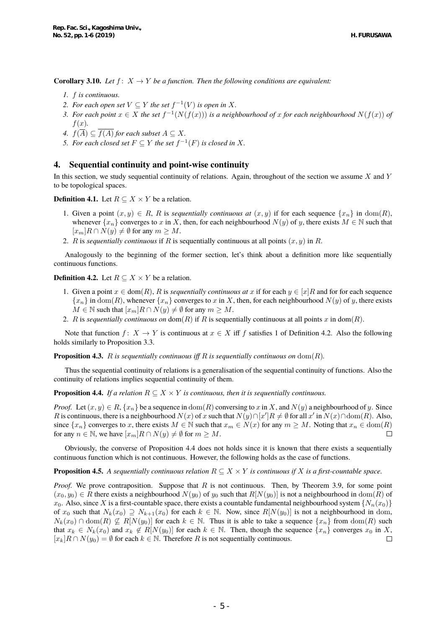**Corollary 3.10.** *Let*  $f: X \to Y$  *be a function. Then the following conditions are equivalent:* 

- *1. f is continuous.*
- 2. For each open set  $V \subseteq Y$  the set  $f^{-1}(V)$  is open in X.
- *3. For each point*  $x \in X$  *the set*  $f^{-1}(N(f(x)))$  *is a neighbourhood of*  $x$  *for each neighbourhood*  $N(f(x))$  *of f*(*x*)*.*
- *A.*  $f(\overline{A}) \subseteq f(A)$  *for each subset*  $A \subseteq X$ *.*
- *5. For each closed set*  $F \subseteq Y$  *the set*  $f^{-1}(F)$  *is closed in*  $X$ *.*

## **4. Sequential continuity and point-wise continuity**

In this section, we study sequential continuity of relations. Again, throughout of the section we assume *X* and *Y* to be topological spaces.

**Definition 4.1.** Let  $R \subseteq X \times Y$  be a relation.

- 1. Given a point  $(x, y) \in R$ , R is *sequentially continuous at*  $(x, y)$  if for each sequence  $\{x_n\}$  in dom(R), whenever  $\{x_n\}$  converges to *x* in *X*, then, for each neighbourhood  $N(y)$  of *y*, there exists  $M \in \mathbb{N}$  such that  $[x_m]$ *R* ∩ *N*(*y*)  $\neq$  *Ø* for any *m* ≥ *M*.
- 2. *R* is *sequentially continuous* if *R* is sequentially continuous at all points (*x, y*) in *R*.

Analogously to the beginning of the former section, let's think about a definition more like sequentially continuous functions.

**Definition 4.2.** Let  $R \subseteq X \times Y$  be a relation.

- 1. Given a point  $x \in \text{dom}(R)$ , R is *sequentially continuous at*  $x$  if for each  $y \in [x]$ R and for for each sequence  ${x_n}$  in dom(*R*), whenever  ${x_n}$  converges to *x* in *X*, then, for each neighbourhood *N*(*y*) of *y*, there exists  $M \in \mathbb{N}$  such that  $[x_m]R \cap N(y) \neq \emptyset$  for any  $m \geq M$ .
- 2. *R* is *sequentially continuous on* dom(*R*) if *R* is sequentially continuous at all points *x* in dom(*R*).

Note that function  $f: X \to Y$  is continuous at  $x \in X$  iff *f* satisfies 1 of Definition 4.2. Also the following holds similarly to Proposition 3.3.

**Proposition 4.3.** *R is sequentially continuous iff R is sequentially continuous on*  $dom(R)$ *.* 

Thus the sequential continuity of relations is a generalisation of the sequential continuity of functions. Also the continuity of relations implies sequential continuity of them.

**Proposition 4.4.** *If a relation*  $R \subseteq X \times Y$  *is continuous, then it is sequentially continuous.* 

*Proof.* Let  $(x, y) \in R$ ,  $\{x_n\}$  be a sequence in dom(*R*) conversing to *x* in *X*, and  $N(y)$  a neighbourhood of *y*. Since R is continuous, there is a neighbourhood  $N(x)$  of x such that  $N(y) \cap [x']R \neq \emptyset$  for all  $x'$  in  $N(x) \cap \text{dom}(R)$ . Also, since  $\{x_n\}$  converges to x, there exists  $M \in \mathbb{N}$  such that  $x_m \in N(x)$  for any  $m \geq M$ . Noting that  $x_n \in \text{dom}(R)$ for any  $n \in \mathbb{N}$ , we have  $[x_m]R \cap N(y) \neq \emptyset$  for  $m \geq M$ .  $\Box$ 

Obviously, the converse of Proposition 4.4 does not holds since it is known that there exists a sequentially continuous function which is not continuous. However, the following holds as the case of functions.

#### **Proposition 4.5.** *A sequentially continuous relation*  $R \subseteq X \times Y$  *is continuous if X is a first-countable space.*

*Proof.* We prove contraposition. Suppose that *R* is not continuous. Then, by Theorem 3.9, for some point  $(x_0, y_0) \in R$  there exists a neighbourhood  $N(y_0)$  of  $y_0$  such that  $R[N(y_0)]$  is not a neighbourhood in dom $(R)$  of  $x_0$ . Also, since *X* is a first-countable space, there exists a countable fundamental neighbourhood system  $\{N_n(x_0)\}$ of  $x_0$  such that  $N_k(x_0) \supseteq N_{k+1}(x_0)$  for each  $k \in \mathbb{N}$ . Now, since  $R[N(y_0)]$  is not a neighbourhood in dom,  $N_k(x_0) \cap \text{dom}(R) \not\subseteq R[N(y_0)]$  for each  $k \in \mathbb{N}$ . Thus it is able to take a sequence  $\{x_n\}$  from  $\text{dom}(R)$  such that  $x_k \in N_k(x_0)$  and  $x_k \notin R[N(y_0)]$  for each  $k \in \mathbb{N}$ . Then, though the sequence  $\{x_n\}$  converges  $x_0$  in X,  $[x_k]R \cap N(y_0) = \emptyset$  for each  $k \in \mathbb{N}$ . Therefore *R* is not sequentially continuous.  $\Box$